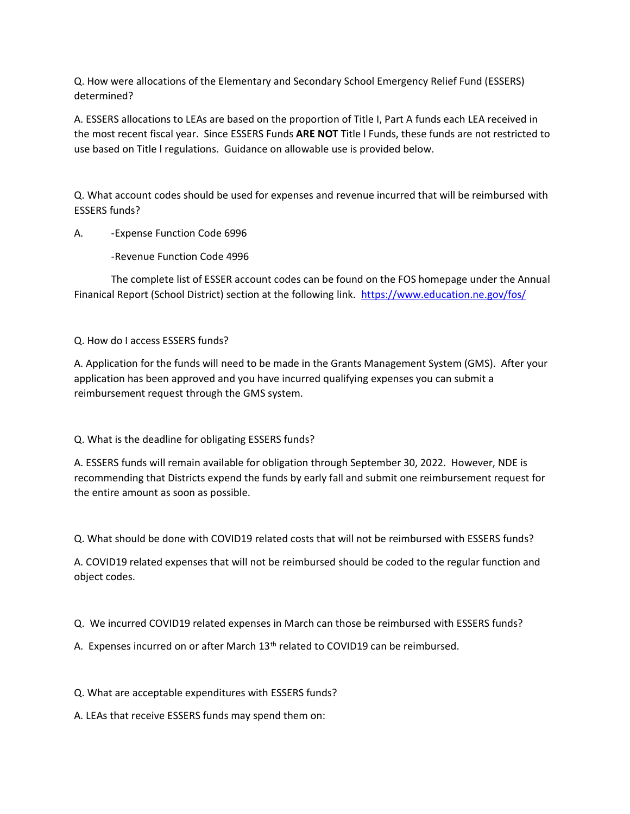Q. How were allocations of the Elementary and Secondary School Emergency Relief Fund (ESSERS) determined?

A. ESSERS allocations to LEAs are based on the proportion of Title I, Part A funds each LEA received in the most recent fiscal year. Since ESSERS Funds **ARE NOT** Title l Funds, these funds are not restricted to use based on Title l regulations. Guidance on allowable use is provided below.

Q. What account codes should be used for expenses and revenue incurred that will be reimbursed with ESSERS funds?

## A. -Expense Function Code 6996

-Revenue Function Code 4996

The complete list of ESSER account codes can be found on the FOS homepage under the Annual Finanical Report (School District) section at the following link. <https://www.education.ne.gov/fos/>

## Q. How do I access ESSERS funds?

A. Application for the funds will need to be made in the Grants Management System (GMS). After your application has been approved and you have incurred qualifying expenses you can submit a reimbursement request through the GMS system.

Q. What is the deadline for obligating ESSERS funds?

A. ESSERS funds will remain available for obligation through September 30, 2022. However, NDE is recommending that Districts expend the funds by early fall and submit one reimbursement request for the entire amount as soon as possible.

Q. What should be done with COVID19 related costs that will not be reimbursed with ESSERS funds?

A. COVID19 related expenses that will not be reimbursed should be coded to the regular function and object codes.

Q. We incurred COVID19 related expenses in March can those be reimbursed with ESSERS funds?

A. Expenses incurred on or after March 13<sup>th</sup> related to COVID19 can be reimbursed.

Q. What are acceptable expenditures with ESSERS funds?

A. LEAs that receive ESSERS funds may spend them on: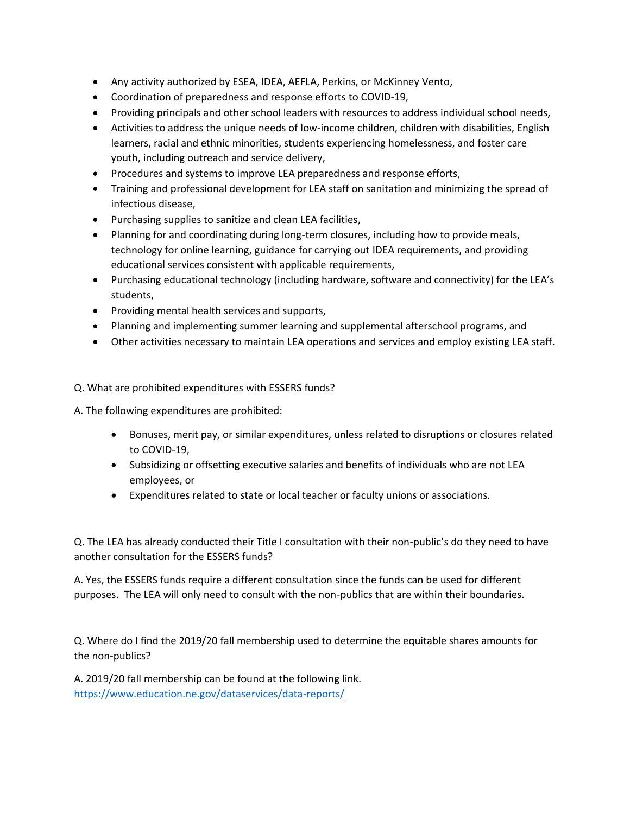- Any activity authorized by ESEA, IDEA, AEFLA, Perkins, or McKinney Vento,
- Coordination of preparedness and response efforts to COVID-19,
- Providing principals and other school leaders with resources to address individual school needs,
- Activities to address the unique needs of low-income children, children with disabilities, English learners, racial and ethnic minorities, students experiencing homelessness, and foster care youth, including outreach and service delivery,
- Procedures and systems to improve LEA preparedness and response efforts,
- Training and professional development for LEA staff on sanitation and minimizing the spread of infectious disease,
- Purchasing supplies to sanitize and clean LEA facilities,
- Planning for and coordinating during long-term closures, including how to provide meals, technology for online learning, guidance for carrying out IDEA requirements, and providing educational services consistent with applicable requirements,
- Purchasing educational technology (including hardware, software and connectivity) for the LEA's students,
- Providing mental health services and supports,
- Planning and implementing summer learning and supplemental afterschool programs, and
- Other activities necessary to maintain LEA operations and services and employ existing LEA staff.

Q. What are prohibited expenditures with ESSERS funds?

A. The following expenditures are prohibited:

- Bonuses, merit pay, or similar expenditures, unless related to disruptions or closures related to COVID-19,
- Subsidizing or offsetting executive salaries and benefits of individuals who are not LEA employees, or
- Expenditures related to state or local teacher or faculty unions or associations.

Q. The LEA has already conducted their Title I consultation with their non-public's do they need to have another consultation for the ESSERS funds?

A. Yes, the ESSERS funds require a different consultation since the funds can be used for different purposes. The LEA will only need to consult with the non-publics that are within their boundaries.

Q. Where do I find the 2019/20 fall membership used to determine the equitable shares amounts for the non-publics?

A. 2019/20 fall membership can be found at the following link. <https://www.education.ne.gov/dataservices/data-reports/>